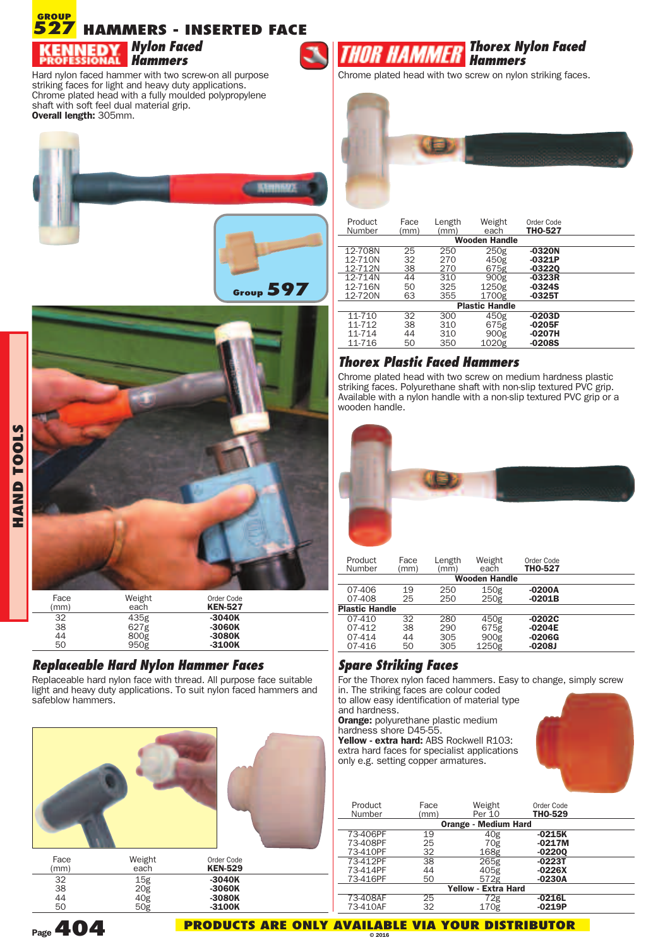

Hard nylon faced hammer with two screw-on all purpose striking faces for light and heavy duty applications. Chrome plated head with a fully moulded polypropylene shaft with soft feel dual material grip. **Overall length:** 305mm.





#### 32 435g **-3040K** 38 627g **-3060K** 44 800g<br>50 950g 50 950g **-3100K**

#### *Replaceable Hard Nylon Hammer Faces*

Replaceable hard nylon face with thread. All purpose face suitable light and heavy duty applications. To suit nylon faced hammers and safeblow hammers.





Chrome plated head with two screw on nylon striking faces.



| Product<br>Number     | Face<br>(mm)         | Length<br>(mm) | Weight<br>each | Order Code<br><b>THO-527</b> |  |  |  |  |
|-----------------------|----------------------|----------------|----------------|------------------------------|--|--|--|--|
|                       | <b>Wooden Handle</b> |                |                |                              |  |  |  |  |
| 12-708N               | 25                   | 250            | 250g           | $-0320N$                     |  |  |  |  |
| 12-710N               | 32                   | 270            | 450g           | $-0321P$                     |  |  |  |  |
| 12-712N               | 38                   | 270            | 675g           | $-03220$                     |  |  |  |  |
| 12-714N               | 44                   | 310            | 900g           | $-0323R$                     |  |  |  |  |
| 12-716N               | 50                   | 325            | 1250g          | $-0324S$                     |  |  |  |  |
| 12-720N               | 63                   | 355            | 1700g          | $-0325T$                     |  |  |  |  |
| <b>Plastic Handle</b> |                      |                |                |                              |  |  |  |  |
| 11-710                | 32                   | 300            | 450g           | $-0203D$                     |  |  |  |  |
| 11-712                | 38                   | 310            | 675g           | $-0205F$                     |  |  |  |  |
| 11-714                | 44                   | 310            | 900g           | $-0207H$                     |  |  |  |  |
| 11-716                | 50                   | 350            | 1020g          | $-0208S$                     |  |  |  |  |

### *Thorex Plastic Faced Hammers*

Chrome plated head with two screw on medium hardness plastic striking faces. Polyurethane shaft with non-slip textured PVC grip. Available with <sup>a</sup> nylon handle with <sup>a</sup> non-slip textured PVC grip or <sup>a</sup> wooden handle.



| Product<br>Number     | Face<br>(mm) | Length<br>(mm) | Weight<br>each       | Order Code<br><b>THO-527</b> |  |
|-----------------------|--------------|----------------|----------------------|------------------------------|--|
|                       |              |                | <b>Wooden Handle</b> |                              |  |
| 07-406                | 19           | 250            | 150g                 | $-0200A$                     |  |
| 07-408                | 25           | 250            | 250g                 | $-0201B$                     |  |
| <b>Plastic Handle</b> |              |                |                      |                              |  |
| $07-410$              | 32           | 280            | 450g                 | $-0202C$                     |  |
| 07-412                | 38           | 290            | 675g                 | $-0204E$                     |  |
| 07-414                | 44           | 305            | 900g                 | $-0206G$                     |  |
| 07-416                | 50           | 305            | 1250g                | $-0208J$                     |  |

## *Spare Striking Faces*

For the Thorex nylon faced hammers. Easy to change, simply screw in. The striking faces are colour coded

to allow easy identification of material type and hardness.

**Orange:** polyurethane plastic medium hardness shore D45-55.

**Yellow - extra hard:** ABS Rockwell R103: extra hard faces for specialist applications only e.g. setting copper armatures.



| Product<br>Number | Face<br>(mm) | Weight<br>Per 10            | Order Code<br>THO-529 |  |
|-------------------|--------------|-----------------------------|-----------------------|--|
|                   |              | <b>Orange - Medium Hard</b> |                       |  |
| 73-406PF          | 19           | 40 <sub>g</sub>             | $-0215K$              |  |
| 73-408PF          | 25           | 70g                         | $-0217M$              |  |
| 73-410PF          | 32           | 168g                        | $-02200$              |  |
| 73-412PF          | 38           | 265g                        | $-0223T$              |  |
| 73-414PF          | 44           | 405g                        | $-0226X$              |  |
| 73-416PF          | 50           | 572g                        | $-0230A$              |  |
|                   |              | <b>Yellow - Extra Hard</b>  |                       |  |
| 73-408AF          | 25           | 72g                         | $-0216L$              |  |
| 73-410AF          | 32           | 170g                        | $-0219P$              |  |
|                   |              |                             |                       |  |



**HA N D T O O L** <u>ທ</u>

**Page404**

**PRODUCTS ARE ONLY AVAILABLE VIA YOUR DISTRIBUTOR © 2016**